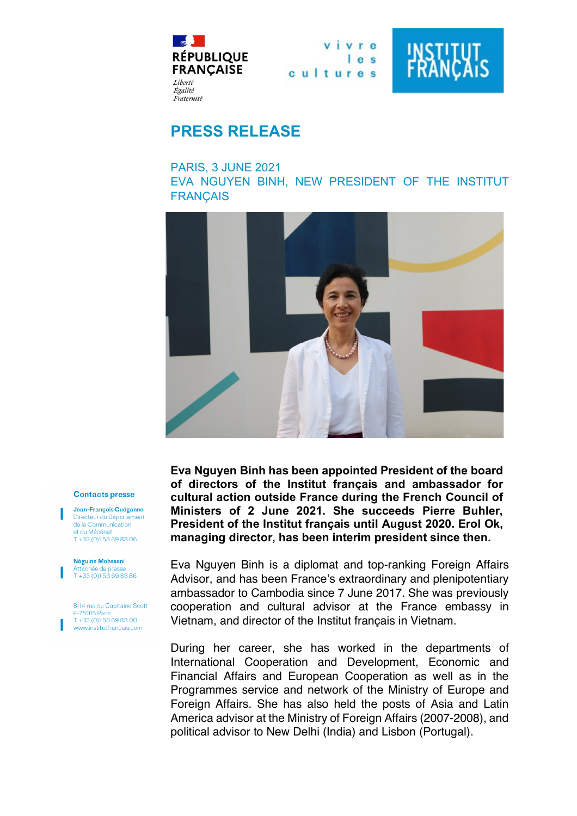

vivre  $1e<sub>s</sub>$ cultures



## **PRESS RELEASE**

PARIS, 3 JUNE 2021

EVA NGUYEN BINH, NEW PRESIDENT OF THE INSTITUT **FRANÇAIS** 



## **Contacts presse**

Jean-François Quéganno Directeur du Département de la Communication et du Mécénat  $T + 33(0)153698306$ 

Néguine Mohsseni Attachée de p  $T + 33(0)153698386$ 

8-14 rue du Capitaine Scott **F-75015 Paris**  $T + 33(0)153698300$ www.institutfrancais.com

**Eva Nguyen Binh has been appointed President of the board of directors of the Institut français and ambassador for cultural action outside France during the French Council of Ministers of 2 June 2021. She succeeds Pierre Buhler, President of the Institut français until August 2020. Erol Ok, managing director, has been interim president since then.**

Eva Nguyen Binh is a diplomat and top-ranking Foreign Affairs Advisor, and has been France's extraordinary and plenipotentiary ambassador to Cambodia since 7 June 2017. She was previously cooperation and cultural advisor at the France embassy in Vietnam, and director of the Institut français in Vietnam.

During her career, she has worked in the departments of International Cooperation and Development, Economic and Financial Affairs and European Cooperation as well as in the Programmes service and network of the Ministry of Europe and Foreign Affairs. She has also held the posts of Asia and Latin America advisor at the Ministry of Foreign Affairs (2007-2008), and political advisor to New Delhi (India) and Lisbon (Portugal).